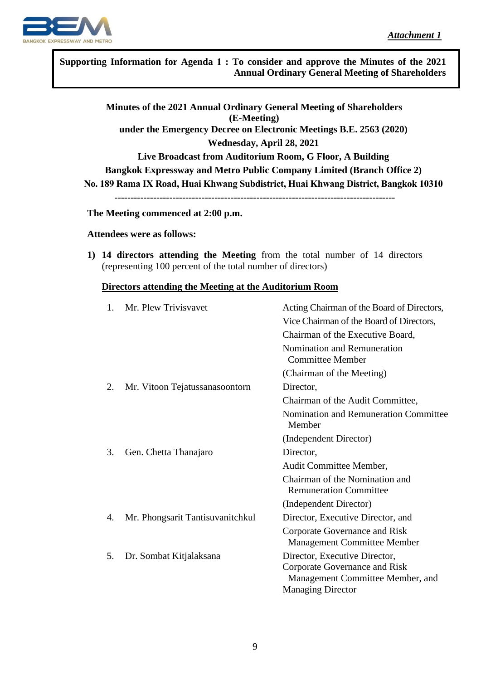

.<br>. **Supporting Information for Agenda 1 : To consider and approve the Minutes of the 2021 Annual Ordinary General Meeting of Shareholders** 

**Minutes of the 2021 Annual Ordinary General Meeting of Shareholders (E-Meeting) under the Emergency Decree on Electronic Meetings B.E. 2563 (2020) Wednesday, April 28, 2021 Live Broadcast from Auditorium Room, G Floor, A Building Bangkok Expressway and Metro Public Company Limited (Branch Office 2) No. 189 Rama IX Road, Huai Khwang Subdistrict, Huai Khwang District, Bangkok 10310 --------------------------------------------------------------------------------------- The Meeting commenced at 2:00 p.m.**

# **Attendees were as follows:**

**1) 14 directors attending the Meeting** from the total number of 14 directors (representing 100 percent of the total number of directors)

### **Directors attending the Meeting at the Auditorium Room**

| 1. | Mr. Plew Trivisvavet             | Acting Chairman of the Board of Directors,                                                                                     |
|----|----------------------------------|--------------------------------------------------------------------------------------------------------------------------------|
|    |                                  | Vice Chairman of the Board of Directors,                                                                                       |
|    |                                  | Chairman of the Executive Board,                                                                                               |
|    |                                  | Nomination and Remuneration<br><b>Committee Member</b>                                                                         |
|    |                                  | (Chairman of the Meeting)                                                                                                      |
| 2. | Mr. Vitoon Tejatussanasoontorn   | Director,                                                                                                                      |
|    |                                  | Chairman of the Audit Committee,                                                                                               |
|    |                                  | Nomination and Remuneration Committee<br>Member                                                                                |
|    |                                  | (Independent Director)                                                                                                         |
| 3. | Gen. Chetta Thanajaro            | Director,                                                                                                                      |
|    |                                  | Audit Committee Member,                                                                                                        |
|    |                                  | Chairman of the Nomination and<br><b>Remuneration Committee</b>                                                                |
|    |                                  | (Independent Director)                                                                                                         |
| 4. | Mr. Phongsarit Tantisuvanitchkul | Director, Executive Director, and                                                                                              |
|    |                                  | Corporate Governance and Risk<br><b>Management Committee Member</b>                                                            |
| 5. | Dr. Sombat Kitjalaksana          | Director, Executive Director,<br>Corporate Governance and Risk<br>Management Committee Member, and<br><b>Managing Director</b> |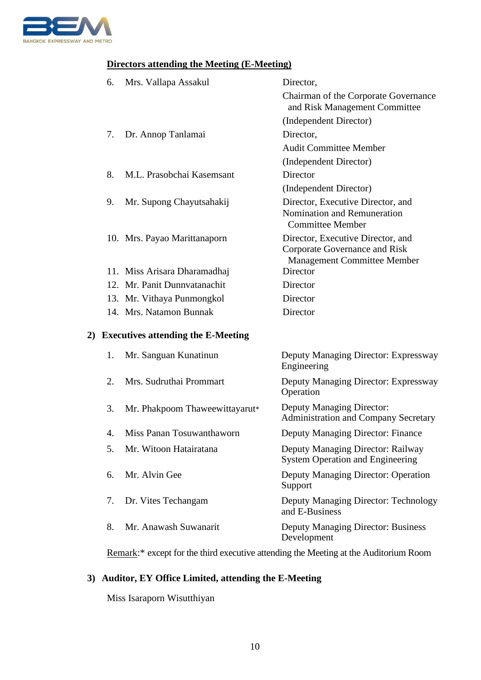

## **Directors attending the Meeting (E-Meeting)**

| 6. | Mrs. Vallapa Assakul                  | Director,                                                                                                |
|----|---------------------------------------|----------------------------------------------------------------------------------------------------------|
|    |                                       | Chairman of the Corporate Governance<br>and Risk Management Committee                                    |
|    |                                       | (Independent Director)                                                                                   |
| 7. | Dr. Annop Tanlamai                    | Director,                                                                                                |
|    |                                       | <b>Audit Committee Member</b>                                                                            |
|    |                                       | (Independent Director)                                                                                   |
| 8. | M.L. Prasobchai Kasemsant             | Director                                                                                                 |
|    |                                       | (Independent Director)                                                                                   |
| 9. | Mr. Supong Chayutsahakij              | Director, Executive Director, and<br>Nomination and Remuneration<br><b>Committee Member</b>              |
|    | 10. Mrs. Payao Marittanaporn          | Director, Executive Director, and<br>Corporate Governance and Risk<br><b>Management Committee Member</b> |
|    | 11. Miss Arisara Dharamadhaj          | Director                                                                                                 |
|    | 12. Mr. Panit Dunnyatanachit          | Director                                                                                                 |
|    | 13. Mr. Vithaya Punmongkol            | Director                                                                                                 |
|    | 14. Mrs. Natamon Bunnak               | Director                                                                                                 |
|    | 2) Executives attending the E-Meeting |                                                                                                          |
| 1. | Mr. Sanguan Kunatinun                 | Deputy Managing Director: Expressway<br>Engineering                                                      |
| 2. | Mrs. Sudruthai Prommart               | Deputy Managing Director: Expressway                                                                     |

Operation 3. Mr. Phakpoom Thaweewittayarut\* Deputy Managing Director:

Administration and Company Secretary

4. Miss Panan Tosuwanthaworn Deputy Managing Director: Finance

5. Mr. Witoon Hatairatana Deputy Managing Director: Railway System Operation and Engineering

6. Mr. Alvin Gee Deputy Managing Director: Operation Support

7. Dr. Vites Techangam Deputy Managing Director: Technology and E-Business

8. Mr. Anawash Suwanarit Deputy Managing Director: Business Development

Remark:\* except for the third executive attending the Meeting at the Auditorium Room

## **3) Auditor, EY Office Limited, attending the E-Meeting**

Miss Isaraporn Wisutthiyan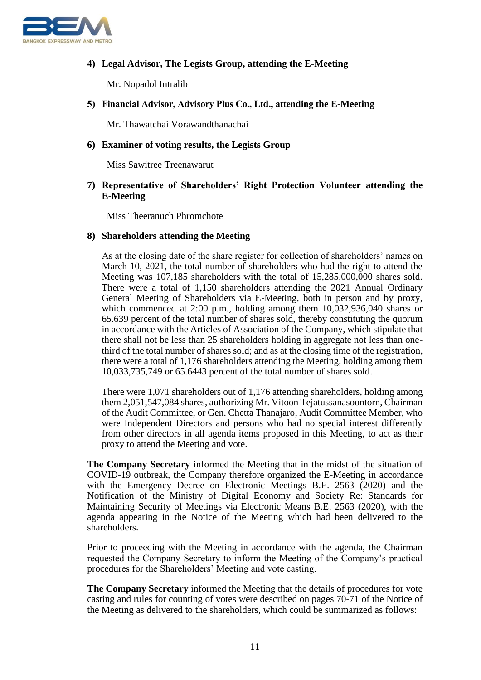

## **4) Legal Advisor, The Legists Group, attending the E-Meeting**

Mr. Nopadol Intralib

### **5) Financial Advisor, Advisory Plus Co., Ltd., attending the E-Meeting**

Mr. Thawatchai Vorawandthanachai

#### **6) Examiner of voting results, the Legists Group**

Miss Sawitree Treenawarut

## **7) Representative of Shareholders' Right Protection Volunteer attending the E-Meeting**

Miss Theeranuch Phromchote

#### **8) Shareholders attending the Meeting**

As at the closing date of the share register for collection of shareholders' names on March 10, 2021, the total number of shareholders who had the right to attend the Meeting was 107,185 shareholders with the total of 15,285,000,000 shares sold. There were a total of 1,150 shareholders attending the 2021 Annual Ordinary General Meeting of Shareholders via E-Meeting, both in person and by proxy, which commenced at 2:00 p.m., holding among them 10,032,936,040 shares or 65.639 percent of the total number of shares sold, thereby constituting the quorum in accordance with the Articles of Association of the Company, which stipulate that there shall not be less than 25 shareholders holding in aggregate not less than onethird of the total number of shares sold; and as at the closing time of the registration, there were a total of 1,176 shareholders attending the Meeting, holding among them 10,033,735,749 or 65.6443 percent of the total number of shares sold.

There were 1,071 shareholders out of 1,176 attending shareholders, holding among them 2,051,547,084 shares, authorizing Mr. Vitoon Tejatussanasoontorn, Chairman of the Audit Committee, or Gen. Chetta Thanajaro, Audit Committee Member, who were Independent Directors and persons who had no special interest differently from other directors in all agenda items proposed in this Meeting, to act as their proxy to attend the Meeting and vote.

**The Company Secretary** informed the Meeting that in the midst of the situation of COVID-19 outbreak, the Company therefore organized the E-Meeting in accordance with the Emergency Decree on Electronic Meetings B.E. 2563 (2020) and the Notification of the Ministry of Digital Economy and Society Re: Standards for Maintaining Security of Meetings via Electronic Means B.E. 2563 (2020), with the agenda appearing in the Notice of the Meeting which had been delivered to the shareholders.

Prior to proceeding with the Meeting in accordance with the agenda, the Chairman requested the Company Secretary to inform the Meeting of the Company's practical procedures for the Shareholders' Meeting and vote casting.

**The Company Secretary** informed the Meeting that the details of procedures for vote casting and rules for counting of votes were described on pages 70-71 of the Notice of the Meeting as delivered to the shareholders, which could be summarized as follows: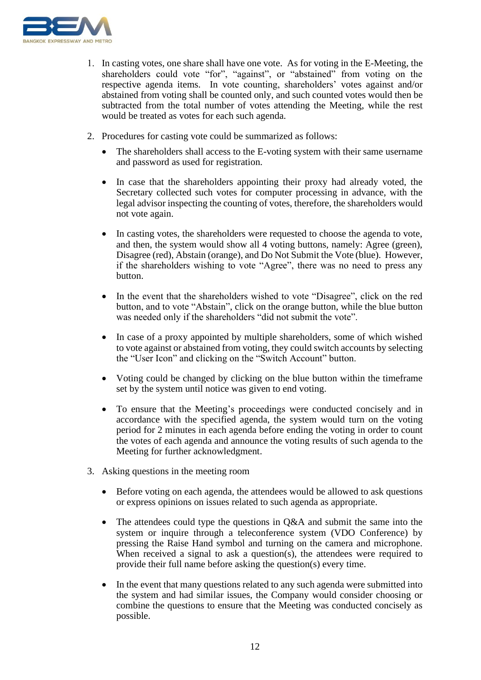

- 1. In casting votes, one share shall have one vote. As for voting in the E-Meeting, the shareholders could vote "for", "against", or "abstained" from voting on the respective agenda items. In vote counting, shareholders' votes against and/or abstained from voting shall be counted only, and such counted votes would then be subtracted from the total number of votes attending the Meeting, while the rest would be treated as votes for each such agenda.
- 2. Procedures for casting vote could be summarized as follows:
	- The shareholders shall access to the E-voting system with their same username and password as used for registration.
	- In case that the shareholders appointing their proxy had already voted, the Secretary collected such votes for computer processing in advance, with the legal advisor inspecting the counting of votes, therefore, the shareholders would not vote again.
	- In casting votes, the shareholders were requested to choose the agenda to vote, and then, the system would show all 4 voting buttons, namely: Agree (green), Disagree (red), Abstain (orange), and Do Not Submit the Vote (blue). However, if the shareholders wishing to vote "Agree", there was no need to press any button.
	- In the event that the shareholders wished to vote "Disagree", click on the red button, and to vote "Abstain", click on the orange button, while the blue button was needed only if the shareholders "did not submit the vote".
	- In case of a proxy appointed by multiple shareholders, some of which wished to vote against or abstained from voting, they could switch accounts by selecting the "User Icon" and clicking on the "Switch Account" button.
	- Voting could be changed by clicking on the blue button within the timeframe set by the system until notice was given to end voting.
	- To ensure that the Meeting's proceedings were conducted concisely and in accordance with the specified agenda, the system would turn on the voting period for 2 minutes in each agenda before ending the voting in order to count the votes of each agenda and announce the voting results of such agenda to the Meeting for further acknowledgment.
- 3. Asking questions in the meeting room
	- Before voting on each agenda, the attendees would be allowed to ask questions or express opinions on issues related to such agenda as appropriate.
	- The attendees could type the questions in Q&A and submit the same into the system or inquire through a teleconference system (VDO Conference) by pressing the Raise Hand symbol and turning on the camera and microphone. When received a signal to ask a question(s), the attendees were required to provide their full name before asking the question(s) every time.
	- In the event that many questions related to any such agenda were submitted into the system and had similar issues, the Company would consider choosing or combine the questions to ensure that the Meeting was conducted concisely as possible.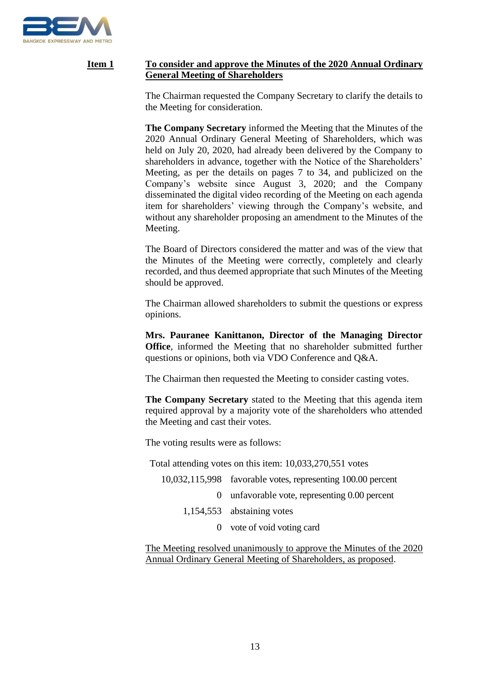

## **Item 1 To consider and approve the Minutes of the 2020 Annual Ordinary General Meeting of Shareholders**

The Chairman requested the Company Secretary to clarify the details to the Meeting for consideration.

**The Company Secretary** informed the Meeting that the Minutes of the 2020 Annual Ordinary General Meeting of Shareholders, which was held on July 20, 2020, had already been delivered by the Company to shareholders in advance, together with the Notice of the Shareholders' Meeting, as per the details on pages 7 to 34, and publicized on the Company's website since August 3, 2020; and the Company disseminated the digital video recording of the Meeting on each agenda item for shareholders' viewing through the Company's website, and without any shareholder proposing an amendment to the Minutes of the Meeting.

The Board of Directors considered the matter and was of the view that the Minutes of the Meeting were correctly, completely and clearly recorded, and thus deemed appropriate that such Minutes of the Meeting should be approved.

The Chairman allowed shareholders to submit the questions or express opinions.

**Mrs. Pauranee Kanittanon, Director of the Managing Director Office**, informed the Meeting that no shareholder submitted further questions or opinions, both via VDO Conference and Q&A.

The Chairman then requested the Meeting to consider casting votes.

**The Company Secretary** stated to the Meeting that this agenda item required approval by a majority vote of the shareholders who attended the Meeting and cast their votes.

The voting results were as follows:

Total attending votes on this item: 10,033,270,551 votes

| $10,032,115,998$ favorable votes, representing 100.00 percent |
|---------------------------------------------------------------|
| 0 unfavorable vote, representing 0.00 percent                 |
| $1,154,553$ abstaining votes                                  |
| 0 vote of void voting card                                    |
|                                                               |

The Meeting resolved unanimously to approve the Minutes of the 2020 Annual Ordinary General Meeting of Shareholders, as proposed.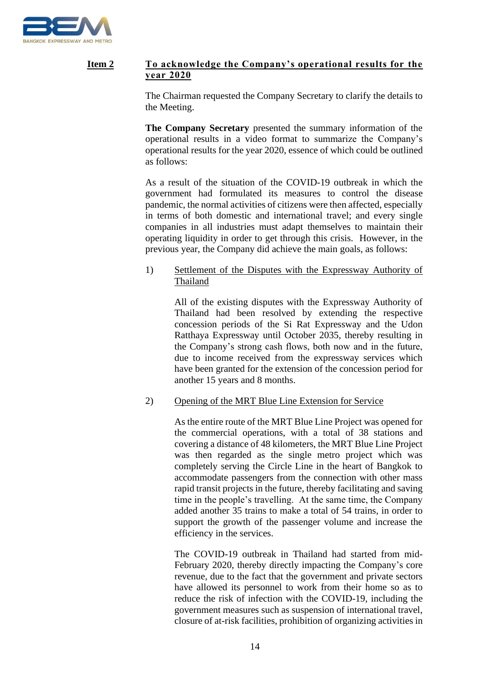

## **Item 2 To acknowledge the Company's operational results for the year 2020**

The Chairman requested the Company Secretary to clarify the details to the Meeting.

**The Company Secretary** presented the summary information of the operational results in a video format to summarize the Company's operational results for the year 2020, essence of which could be outlined as follows:

As a result of the situation of the COVID-19 outbreak in which the government had formulated its measures to control the disease pandemic, the normal activities of citizens were then affected, especially in terms of both domestic and international travel; and every single companies in all industries must adapt themselves to maintain their operating liquidity in order to get through this crisis. However, in the previous year, the Company did achieve the main goals, as follows:

## 1) Settlement of the Disputes with the Expressway Authority of Thailand

All of the existing disputes with the Expressway Authority of Thailand had been resolved by extending the respective concession periods of the Si Rat Expressway and the Udon Ratthaya Expressway until October 2035, thereby resulting in the Company's strong cash flows, both now and in the future, due to income received from the expressway services which have been granted for the extension of the concession period for another 15 years and 8 months.

## 2) Opening of the MRT Blue Line Extension for Service

As the entire route of the MRT Blue Line Project was opened for the commercial operations, with a total of 38 stations and covering a distance of 48 kilometers, the MRT Blue Line Project was then regarded as the single metro project which was completely serving the Circle Line in the heart of Bangkok to accommodate passengers from the connection with other mass rapid transit projects in the future, thereby facilitating and saving time in the people's travelling. At the same time, the Company added another 35 trains to make a total of 54 trains, in order to support the growth of the passenger volume and increase the efficiency in the services.

The COVID-19 outbreak in Thailand had started from mid-February 2020, thereby directly impacting the Company's core revenue, due to the fact that the government and private sectors have allowed its personnel to work from their home so as to reduce the risk of infection with the COVID-19, including the government measures such as suspension of international travel, closure of at-risk facilities, prohibition of organizing activities in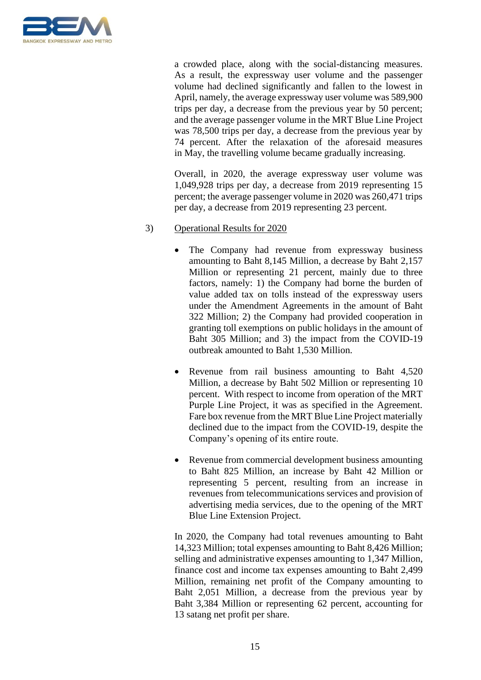

a crowded place, along with the social-distancing measures. As a result, the expressway user volume and the passenger volume had declined significantly and fallen to the lowest in April, namely, the average expressway user volume was 589,900 trips per day, a decrease from the previous year by 50 percent; and the average passenger volume in the MRT Blue Line Project was 78,500 trips per day, a decrease from the previous year by 74 percent. After the relaxation of the aforesaid measures in May, the travelling volume became gradually increasing.

Overall, in 2020, the average expressway user volume was 1,049,928 trips per day, a decrease from 2019 representing 15 percent; the average passenger volume in 2020 was 260,471 trips per day, a decrease from 2019 representing 23 percent.

### 3) Operational Results for 2020

- The Company had revenue from expressway business amounting to Baht 8,145 Million, a decrease by Baht 2,157 Million or representing 21 percent, mainly due to three factors, namely: 1) the Company had borne the burden of value added tax on tolls instead of the expressway users under the Amendment Agreements in the amount of Baht 322 Million; 2) the Company had provided cooperation in granting toll exemptions on public holidays in the amount of Baht 305 Million; and 3) the impact from the COVID-19 outbreak amounted to Baht 1,530 Million.
- Revenue from rail business amounting to Baht 4,520 Million, a decrease by Baht 502 Million or representing 10 percent. With respect to income from operation of the MRT Purple Line Project, it was as specified in the Agreement. Fare box revenue from the MRT Blue Line Project materially declined due to the impact from the COVID-19, despite the Company's opening of its entire route.
- Revenue from commercial development business amounting to Baht 825 Million, an increase by Baht 42 Million or representing 5 percent, resulting from an increase in revenues from telecommunications services and provision of advertising media services, due to the opening of the MRT Blue Line Extension Project.

In 2020, the Company had total revenues amounting to Baht 14,323 Million; total expenses amounting to Baht 8,426 Million; selling and administrative expenses amounting to 1,347 Million, finance cost and income tax expenses amounting to Baht 2,499 Million, remaining net profit of the Company amounting to Baht 2,051 Million, a decrease from the previous year by Baht 3,384 Million or representing 62 percent, accounting for 13 satang net profit per share.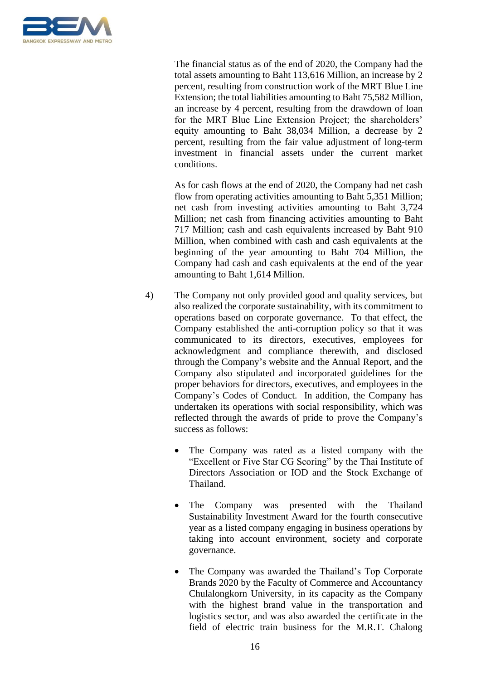

The financial status as of the end of 2020, the Company had the total assets amounting to Baht 113,616 Million, an increase by 2 percent, resulting from construction work of the MRT Blue Line Extension; the total liabilities amounting to Baht 75,582 Million, an increase by 4 percent, resulting from the drawdown of loan for the MRT Blue Line Extension Project; the shareholders' equity amounting to Baht 38,034 Million, a decrease by 2 percent, resulting from the fair value adjustment of long-term investment in financial assets under the current market conditions.

As for cash flows at the end of 2020, the Company had net cash flow from operating activities amounting to Baht 5,351 Million; net cash from investing activities amounting to Baht 3,724 Million; net cash from financing activities amounting to Baht 717 Million; cash and cash equivalents increased by Baht 910 Million, when combined with cash and cash equivalents at the beginning of the year amounting to Baht 704 Million, the Company had cash and cash equivalents at the end of the year amounting to Baht 1,614 Million.

- 4) The Company not only provided good and quality services, but also realized the corporate sustainability, with its commitment to operations based on corporate governance. To that effect, the Company established the anti-corruption policy so that it was communicated to its directors, executives, employees for acknowledgment and compliance therewith, and disclosed through the Company's website and the Annual Report, and the Company also stipulated and incorporated guidelines for the proper behaviors for directors, executives, and employees in the Company's Codes of Conduct. In addition, the Company has undertaken its operations with social responsibility, which was reflected through the awards of pride to prove the Company's success as follows:
	- The Company was rated as a listed company with the "Excellent or Five Star CG Scoring" by the Thai Institute of Directors Association or IOD and the Stock Exchange of Thailand.
	- The Company was presented with the Thailand Sustainability Investment Award for the fourth consecutive year as a listed company engaging in business operations by taking into account environment, society and corporate governance.
	- The Company was awarded the Thailand's Top Corporate Brands 2020 by the Faculty of Commerce and Accountancy Chulalongkorn University, in its capacity as the Company with the highest brand value in the transportation and logistics sector, and was also awarded the certificate in the field of electric train business for the M.R.T. Chalong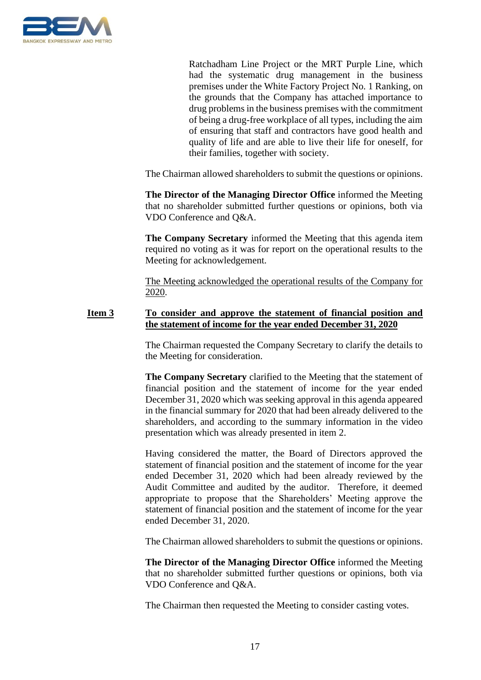

Ratchadham Line Project or the MRT Purple Line, which had the systematic drug management in the business premises under the White Factory Project No. 1 Ranking, on the grounds that the Company has attached importance to drug problems in the business premises with the commitment of being a drug-free workplace of all types, including the aim of ensuring that staff and contractors have good health and quality of life and are able to live their life for oneself, for their families, together with society.

The Chairman allowed shareholders to submit the questions or opinions.

**The Director of the Managing Director Office** informed the Meeting that no shareholder submitted further questions or opinions, both via VDO Conference and Q&A.

**The Company Secretary** informed the Meeting that this agenda item required no voting as it was for report on the operational results to the Meeting for acknowledgement.

The Meeting acknowledged the operational results of the Company for 2020.

## **Item 3 To consider and approve the statement of financial position and the statement of income for the year ended December 31, 2020**

The Chairman requested the Company Secretary to clarify the details to the Meeting for consideration.

**The Company Secretary** clarified to the Meeting that the statement of financial position and the statement of income for the year ended December 31, 2020 which was seeking approval in this agenda appeared in the financial summary for 2020 that had been already delivered to the shareholders, and according to the summary information in the video presentation which was already presented in item 2.

Having considered the matter, the Board of Directors approved the statement of financial position and the statement of income for the year ended December 31, 2020 which had been already reviewed by the Audit Committee and audited by the auditor. Therefore, it deemed appropriate to propose that the Shareholders' Meeting approve the statement of financial position and the statement of income for the year ended December 31, 2020.

The Chairman allowed shareholders to submit the questions or opinions.

**The Director of the Managing Director Office** informed the Meeting that no shareholder submitted further questions or opinions, both via VDO Conference and Q&A.

The Chairman then requested the Meeting to consider casting votes.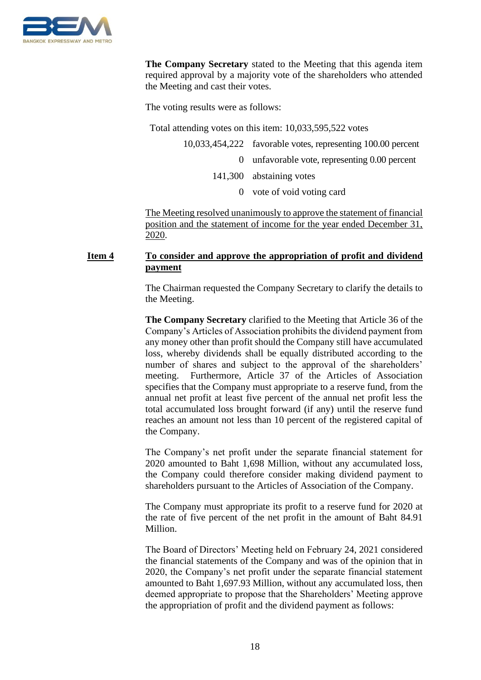

**The Company Secretary** stated to the Meeting that this agenda item required approval by a majority vote of the shareholders who attended the Meeting and cast their votes.

The voting results were as follows:

Total attending votes on this item: 10,033,595,522 votes

| 10,033,454,222 favorable votes, representing 100.00 percent |
|-------------------------------------------------------------|
| 0 unfavorable vote, representing $0.00$ percent             |
| 141,300 abstaining votes                                    |
| 0 vote of void voting card                                  |

The Meeting resolved unanimously to approve the statement of financial position and the statement of income for the year ended December 31, 2020.

## **Item 4 To consider and approve the appropriation of profit and dividend payment**

The Chairman requested the Company Secretary to clarify the details to the Meeting.

**The Company Secretary** clarified to the Meeting that Article 36 of the Company's Articles of Association prohibits the dividend payment from any money other than profit should the Company still have accumulated loss, whereby dividends shall be equally distributed according to the number of shares and subject to the approval of the shareholders' meeting. Furthermore, Article 37 of the Articles of Association specifies that the Company must appropriate to a reserve fund, from the annual net profit at least five percent of the annual net profit less the total accumulated loss brought forward (if any) until the reserve fund reaches an amount not less than 10 percent of the registered capital of the Company.

The Company's net profit under the separate financial statement for 2020 amounted to Baht 1,698 Million, without any accumulated loss, the Company could therefore consider making dividend payment to shareholders pursuant to the Articles of Association of the Company.

The Company must appropriate its profit to a reserve fund for 2020 at the rate of five percent of the net profit in the amount of Baht 84.91 Million.

The Board of Directors' Meeting held on February 24, 2021 considered the financial statements of the Company and was of the opinion that in 2020, the Company's net profit under the separate financial statement amounted to Baht 1,697.93 Million, without any accumulated loss, then deemed appropriate to propose that the Shareholders' Meeting approve the appropriation of profit and the dividend payment as follows: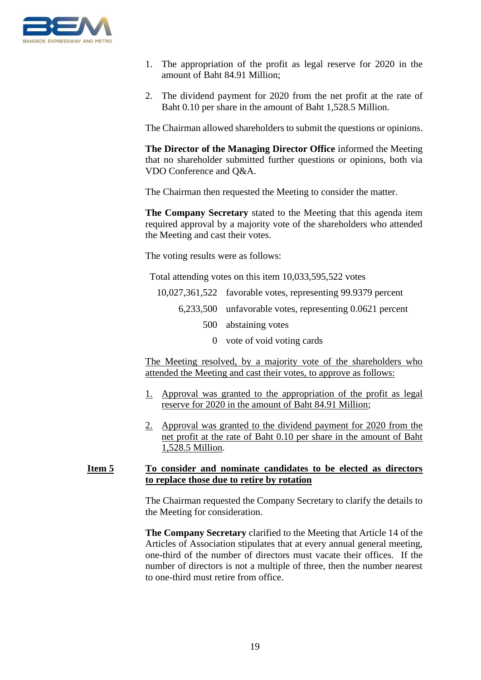

- 1. The appropriation of the profit as legal reserve for 2020 in the amount of Baht 84.91 Million;
- 2. The dividend payment for 2020 from the net profit at the rate of Baht 0.10 per share in the amount of Baht 1,528.5 Million.

The Chairman allowed shareholders to submit the questions or opinions.

**The Director of the Managing Director Office** informed the Meeting that no shareholder submitted further questions or opinions, both via VDO Conference and Q&A.

The Chairman then requested the Meeting to consider the matter.

**The Company Secretary** stated to the Meeting that this agenda item required approval by a majority vote of the shareholders who attended the Meeting and cast their votes.

The voting results were as follows:

Total attending votes on this item 10,033,595,522 votes

| 10,027,361,522 favorable votes, representing 99.9379 percent |
|--------------------------------------------------------------|
| $6,233,500$ unfavorable votes, representing 0.0621 percent   |
| 500 abstaining votes                                         |
|                                                              |

0 vote of void voting cards

The Meeting resolved, by a majority vote of the shareholders who attended the Meeting and cast their votes, to approve as follows:

- 1. Approval was granted to the appropriation of the profit as legal reserve for 2020 in the amount of Baht 84.91 Million;
- 2. Approval was granted to the dividend payment for 2020 from the net profit at the rate of Baht 0.10 per share in the amount of Baht 1,528.5 Million.

### **Item 5 To consider and nominate candidates to be elected as directors to replace those due to retire by rotation**

The Chairman requested the Company Secretary to clarify the details to the Meeting for consideration.

**The Company Secretary** clarified to the Meeting that Article 14 of the Articles of Association stipulates that at every annual general meeting, one-third of the number of directors must vacate their offices. If the number of directors is not a multiple of three, then the number nearest to one-third must retire from office.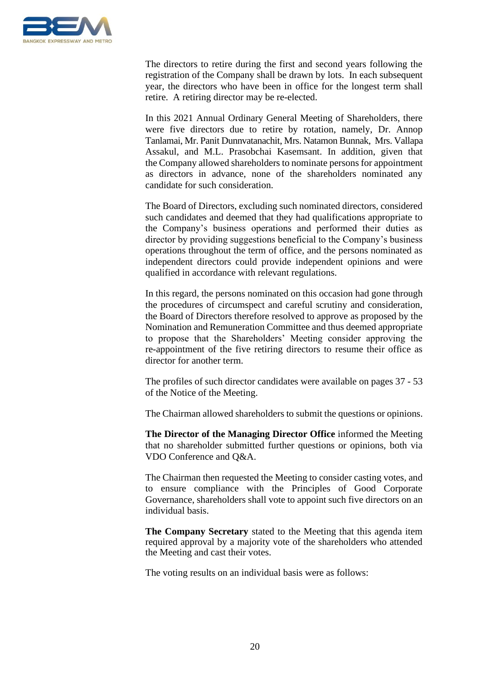

The directors to retire during the first and second years following the registration of the Company shall be drawn by lots. In each subsequent year, the directors who have been in office for the longest term shall retire. A retiring director may be re-elected.

In this 2021 Annual Ordinary General Meeting of Shareholders, there were five directors due to retire by rotation, namely, Dr. Annop Tanlamai, Mr. Panit Dunnvatanachit, Mrs. Natamon Bunnak, Mrs. Vallapa Assakul, and M.L. Prasobchai Kasemsant. In addition, given that the Company allowed shareholders to nominate persons for appointment as directors in advance, none of the shareholders nominated any candidate for such consideration.

The Board of Directors, excluding such nominated directors, considered such candidates and deemed that they had qualifications appropriate to the Company's business operations and performed their duties as director by providing suggestions beneficial to the Company's business operations throughout the term of office, and the persons nominated as independent directors could provide independent opinions and were qualified in accordance with relevant regulations.

In this regard, the persons nominated on this occasion had gone through the procedures of circumspect and careful scrutiny and consideration, the Board of Directors therefore resolved to approve as proposed by the Nomination and Remuneration Committee and thus deemed appropriate to propose that the Shareholders' Meeting consider approving the re-appointment of the five retiring directors to resume their office as director for another term.

The profiles of such director candidates were available on pages 37 - 53 of the Notice of the Meeting.

The Chairman allowed shareholders to submit the questions or opinions.

**The Director of the Managing Director Office** informed the Meeting that no shareholder submitted further questions or opinions, both via VDO Conference and Q&A.

The Chairman then requested the Meeting to consider casting votes, and to ensure compliance with the Principles of Good Corporate Governance, shareholders shall vote to appoint such five directors on an individual basis.

**The Company Secretary** stated to the Meeting that this agenda item required approval by a majority vote of the shareholders who attended the Meeting and cast their votes.

The voting results on an individual basis were as follows: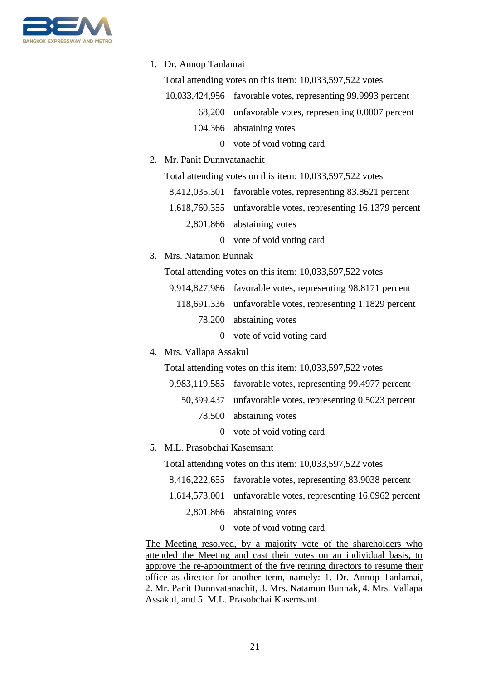

|                                                                      | 1. Dr. Annop Tanlamai                                         |  |  |
|----------------------------------------------------------------------|---------------------------------------------------------------|--|--|
|                                                                      | Total attending votes on this item: 10,033,597,522 votes      |  |  |
|                                                                      | 10,033,424,956 favorable votes, representing 99.9993 percent  |  |  |
|                                                                      | 68,200 unfavorable votes, representing 0.0007 percent         |  |  |
|                                                                      | 104,366 abstaining votes                                      |  |  |
|                                                                      | 0 vote of void voting card                                    |  |  |
| 2. Mr. Panit Dunnvatanachit                                          |                                                               |  |  |
|                                                                      | Total attending votes on this item: 10,033,597,522 votes      |  |  |
|                                                                      | 8,412,035,301 favorable votes, representing 83.8621 percent   |  |  |
|                                                                      | 1,618,760,355 unfavorable votes, representing 16.1379 percent |  |  |
|                                                                      | 2,801,866 abstaining votes                                    |  |  |
|                                                                      | 0 vote of void voting card                                    |  |  |
| 3. Mrs. Natamon Bunnak                                               |                                                               |  |  |
|                                                                      | Total attending votes on this item: 10,033,597,522 votes      |  |  |
|                                                                      | 9,914,827,986 favorable votes, representing 98.8171 percent   |  |  |
|                                                                      | 118,691,336 unfavorable votes, representing 1.1829 percent    |  |  |
|                                                                      | 78,200 abstaining votes                                       |  |  |
| $\mathbf{0}$                                                         | vote of void voting card                                      |  |  |
| 4. Mrs. Vallapa Assakul                                              |                                                               |  |  |
|                                                                      | Total attending votes on this item: 10,033,597,522 votes      |  |  |
|                                                                      | 9,983,119,585 favorable votes, representing 99.4977 percent   |  |  |
|                                                                      | 50,399,437 unfavorable votes, representing 0.5023 percent     |  |  |
| 78,500                                                               | abstaining votes                                              |  |  |
| $\Omega$                                                             | vote of void voting card                                      |  |  |
| M.L. Prasobchai Kasemsant<br>5.                                      |                                                               |  |  |
|                                                                      | Total attending votes on this item: 10,033,597,522 votes      |  |  |
|                                                                      | 8,416,222,655 favorable votes, representing 83.9038 percent   |  |  |
| 1,614,573,001                                                        | unfavorable votes, representing 16.0962 percent               |  |  |
|                                                                      | 2,801,866 abstaining votes                                    |  |  |
| $\theta$                                                             | vote of void voting card                                      |  |  |
| The Meeting resolved, by a majority vote of the shareholders who     |                                                               |  |  |
| attended the Meeting and cast their votes on an individual basis, to |                                                               |  |  |

attended the Meeting and cast their votes on an individual basis, to approve the re-appointment of the five retiring directors to resume their office as director for another term, namely: 1. Dr. Annop Tanlamai, 2. Mr. Panit Dunnvatanachit, 3. Mrs. Natamon Bunnak, 4. Mrs. Vallapa Assakul, and 5. M.L. Prasobchai Kasemsant.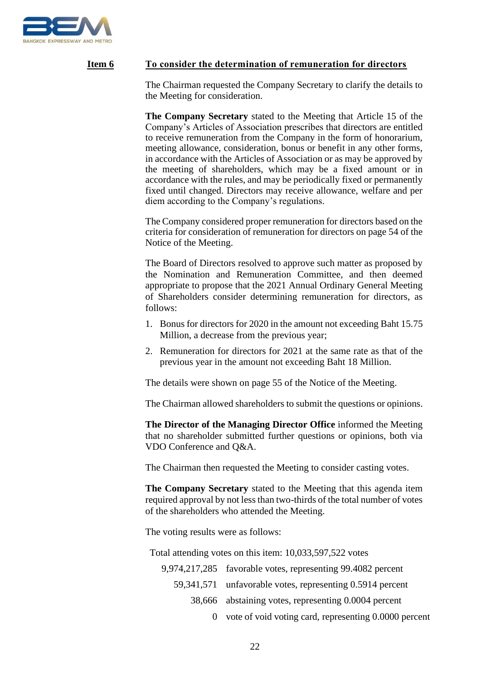

## **Item 6 To consider the determination of remuneration for directors**

The Chairman requested the Company Secretary to clarify the details to the Meeting for consideration.

**The Company Secretary** stated to the Meeting that Article 15 of the Company's Articles of Association prescribes that directors are entitled to receive remuneration from the Company in the form of honorarium, meeting allowance, consideration, bonus or benefit in any other forms, in accordance with the Articles of Association or as may be approved by the meeting of shareholders, which may be a fixed amount or in accordance with the rules, and may be periodically fixed or permanently fixed until changed. Directors may receive allowance, welfare and per diem according to the Company's regulations.

The Company considered proper remuneration for directors based on the criteria for consideration of remuneration for directors on page 54 of the Notice of the Meeting.

The Board of Directors resolved to approve such matter as proposed by the Nomination and Remuneration Committee, and then deemed appropriate to propose that the 2021 Annual Ordinary General Meeting of Shareholders consider determining remuneration for directors, as follows:

- 1. Bonus for directors for 2020 in the amount not exceeding Baht 15.75 Million, a decrease from the previous year;
- 2. Remuneration for directors for 2021 at the same rate as that of the previous year in the amount not exceeding Baht 18 Million.

The details were shown on page 55 of the Notice of the Meeting.

The Chairman allowed shareholders to submit the questions or opinions.

**The Director of the Managing Director Office** informed the Meeting that no shareholder submitted further questions or opinions, both via VDO Conference and Q&A.

The Chairman then requested the Meeting to consider casting votes.

**The Company Secretary** stated to the Meeting that this agenda item required approval by not less than two-thirds of the total number of votes of the shareholders who attended the Meeting.

The voting results were as follows:

Total attending votes on this item: 10,033,597,522 votes

| 9,974,217,285 favorable votes, representing 99.4082 percent |
|-------------------------------------------------------------|
| 59,341,571 unfavorable votes, representing 0.5914 percent   |
| 38,666 abstaining votes, representing 0.0004 percent        |
| 0 vote of void voting card, representing $0.0000$ percent   |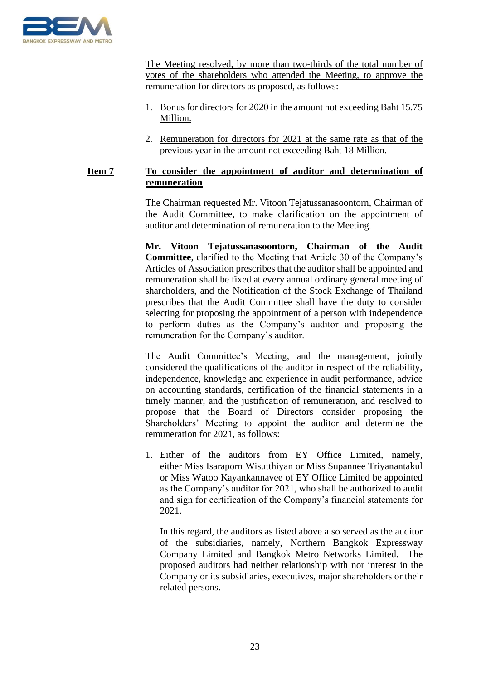

The Meeting resolved, by more than two-thirds of the total number of votes of the shareholders who attended the Meeting, to approve the remuneration for directors as proposed, as follows:

- 1. Bonus for directors for 2020 in the amount not exceeding Baht 15.75 Million.
- 2. Remuneration for directors for 2021 at the same rate as that of the previous year in the amount not exceeding Baht 18 Million.

## **Item 7 To consider the appointment of auditor and determination of remuneration**

The Chairman requested Mr. Vitoon Tejatussanasoontorn, Chairman of the Audit Committee, to make clarification on the appointment of auditor and determination of remuneration to the Meeting.

**Mr. Vitoon Tejatussanasoontorn, Chairman of the Audit Committee**, clarified to the Meeting that Article 30 of the Company's Articles of Association prescribes that the auditor shall be appointed and remuneration shall be fixed at every annual ordinary general meeting of shareholders, and the Notification of the Stock Exchange of Thailand prescribes that the Audit Committee shall have the duty to consider selecting for proposing the appointment of a person with independence to perform duties as the Company's auditor and proposing the remuneration for the Company's auditor.

The Audit Committee's Meeting, and the management, jointly considered the qualifications of the auditor in respect of the reliability, independence, knowledge and experience in audit performance, advice on accounting standards, certification of the financial statements in a timely manner, and the justification of remuneration, and resolved to propose that the Board of Directors consider proposing the Shareholders' Meeting to appoint the auditor and determine the remuneration for 2021, as follows:

1. Either of the auditors from EY Office Limited, namely, either Miss Isaraporn Wisutthiyan or Miss Supannee Triyanantakul or Miss Watoo Kayankannavee of EY Office Limited be appointed as the Company's auditor for 2021, who shall be authorized to audit and sign for certification of the Company's financial statements for 2021.

In this regard, the auditors as listed above also served as the auditor of the subsidiaries, namely, Northern Bangkok Expressway Company Limited and Bangkok Metro Networks Limited. The proposed auditors had neither relationship with nor interest in the Company or its subsidiaries, executives, major shareholders or their related persons.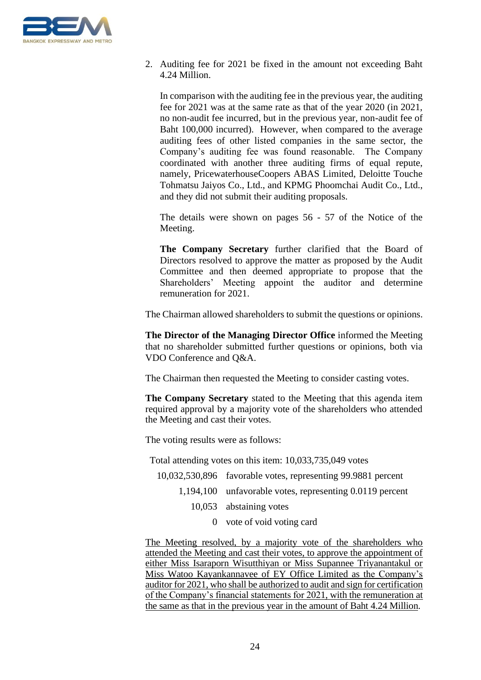

2. Auditing fee for 2021 be fixed in the amount not exceeding Baht 4.24 Million.

In comparison with the auditing fee in the previous year, the auditing fee for 2021 was at the same rate as that of the year 2020 (in 2021, no non-audit fee incurred, but in the previous year, non-audit fee of Baht 100,000 incurred). However, when compared to the average auditing fees of other listed companies in the same sector, the Company's auditing fee was found reasonable. The Company coordinated with another three auditing firms of equal repute, namely, PricewaterhouseCoopers ABAS Limited, Deloitte Touche Tohmatsu Jaiyos Co., Ltd., and KPMG Phoomchai Audit Co., Ltd., and they did not submit their auditing proposals.

The details were shown on pages 56 - 57 of the Notice of the Meeting.

**The Company Secretary** further clarified that the Board of Directors resolved to approve the matter as proposed by the Audit Committee and then deemed appropriate to propose that the Shareholders' Meeting appoint the auditor and determine remuneration for 2021.

The Chairman allowed shareholders to submit the questions or opinions.

**The Director of the Managing Director Office** informed the Meeting that no shareholder submitted further questions or opinions, both via VDO Conference and Q&A.

The Chairman then requested the Meeting to consider casting votes.

**The Company Secretary** stated to the Meeting that this agenda item required approval by a majority vote of the shareholders who attended the Meeting and cast their votes.

The voting results were as follows:

Total attending votes on this item: 10,033,735,049 votes

- 10,032,530,896 favorable votes, representing 99.9881 percent
	- 1,194,100 unfavorable votes, representing 0.0119 percent
		- 10,053 abstaining votes
			- 0 vote of void voting card

The Meeting resolved, by a majority vote of the shareholders who attended the Meeting and cast their votes, to approve the appointment of either Miss Isaraporn Wisutthiyan or Miss Supannee Triyanantakul or Miss Watoo Kayankannavee of EY Office Limited as the Company's auditor for 2021, who shall be authorized to audit and sign for certification of the Company's financial statements for 2021, with the remuneration at the same as that in the previous year in the amount of Baht 4.24 Million.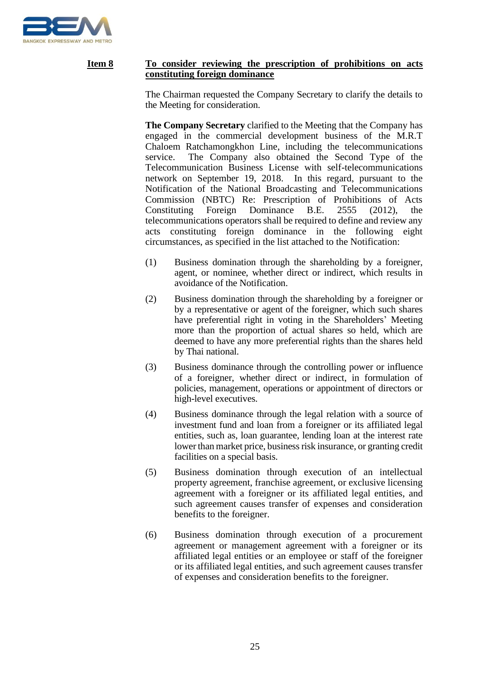

## **Item 8 To consider reviewing the prescription of prohibitions on acts constituting foreign dominance**

The Chairman requested the Company Secretary to clarify the details to the Meeting for consideration.

**The Company Secretary** clarified to the Meeting that the Company has engaged in the commercial development business of the M.R.T Chaloem Ratchamongkhon Line, including the telecommunications service. The Company also obtained the Second Type of the Telecommunication Business License with self-telecommunications network on September 19, 2018. In this regard, pursuant to the Notification of the National Broadcasting and Telecommunications Commission (NBTC) Re: Prescription of Prohibitions of Acts Constituting Foreign Dominance B.E. 2555 (2012), the telecommunications operators shall be required to define and review any acts constituting foreign dominance in the following eight circumstances, as specified in the list attached to the Notification:

- (1) Business domination through the shareholding by a foreigner, agent, or nominee, whether direct or indirect, which results in avoidance of the Notification.
- (2) Business domination through the shareholding by a foreigner or by a representative or agent of the foreigner, which such shares have preferential right in voting in the Shareholders' Meeting more than the proportion of actual shares so held, which are deemed to have any more preferential rights than the shares held by Thai national.
- (3) Business dominance through the controlling power or influence of a foreigner, whether direct or indirect, in formulation of policies, management, operations or appointment of directors or high-level executives.
- (4) Business dominance through the legal relation with a source of investment fund and loan from a foreigner or its affiliated legal entities, such as, loan guarantee, lending loan at the interest rate lower than market price, business risk insurance, or granting credit facilities on a special basis.
- (5) Business domination through execution of an intellectual property agreement, franchise agreement, or exclusive licensing agreement with a foreigner or its affiliated legal entities, and such agreement causes transfer of expenses and consideration benefits to the foreigner.
- (6) Business domination through execution of a procurement agreement or management agreement with a foreigner or its affiliated legal entities or an employee or staff of the foreigner or its affiliated legal entities, and such agreement causes transfer of expenses and consideration benefits to the foreigner.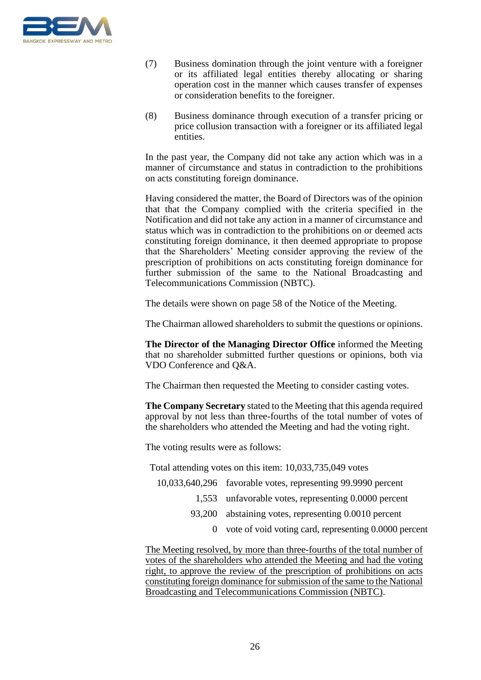

- (7) Business domination through the joint venture with a foreigner or its affiliated legal entities thereby allocating or sharing operation cost in the manner which causes transfer of expenses or consideration benefits to the foreigner.
- (8) Business dominance through execution of a transfer pricing or price collusion transaction with a foreigner or its affiliated legal entities.

In the past year, the Company did not take any action which was in a manner of circumstance and status in contradiction to the prohibitions on acts constituting foreign dominance.

Having considered the matter, the Board of Directors was of the opinion that that the Company complied with the criteria specified in the Notification and did not take any action in a manner of circumstance and status which was in contradiction to the prohibitions on or deemed acts constituting foreign dominance, it then deemed appropriate to propose that the Shareholders' Meeting consider approving the review of the prescription of prohibitions on acts constituting foreign dominance for further submission of the same to the National Broadcasting and Telecommunications Commission (NBTC).

The details were shown on page 58 of the Notice of the Meeting.

The Chairman allowed shareholders to submit the questions or opinions.

**The Director of the Managing Director Office** informed the Meeting that no shareholder submitted further questions or opinions, both via VDO Conference and Q&A.

The Chairman then requested the Meeting to consider casting votes.

**The Company Secretary** stated to the Meeting that this agenda required approval by not less than three-fourths of the total number of votes of the shareholders who attended the Meeting and had the voting right.

The voting results were as follows:

Total attending votes on this item: 10,033,735,049 votes

- 10,033,640,296 favorable votes, representing 99.9990 percent
	- 1,553 unfavorable votes, representing 0.0000 percent
	- 93,200 abstaining votes, representing 0.0010 percent
		- 0 vote of void voting card, representing 0.0000 percent

The Meeting resolved, by more than three-fourths of the total number of votes of the shareholders who attended the Meeting and had the voting right, to approve the review of the prescription of prohibitions on acts constituting foreign dominance for submission of the same to the National Broadcasting and Telecommunications Commission (NBTC).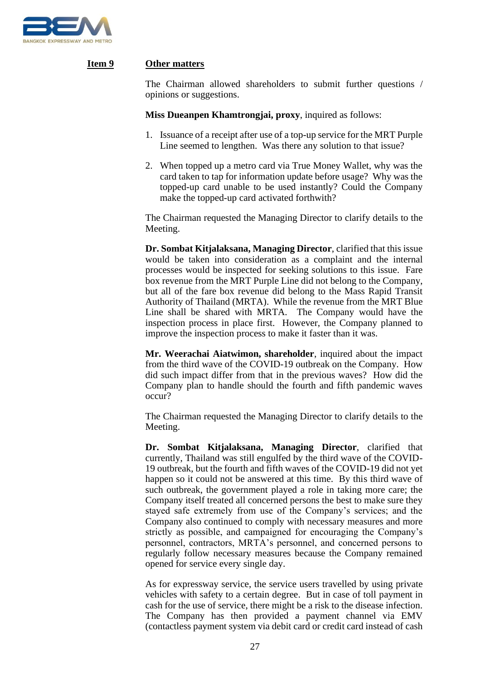

## **Item 9 Other matters**

The Chairman allowed shareholders to submit further questions / opinions or suggestions.

**Miss Dueanpen Khamtrongjai, proxy**, inquired as follows:

- 1. Issuance of a receipt after use of a top-up service for the MRT Purple Line seemed to lengthen. Was there any solution to that issue?
- 2. When topped up a metro card via True Money Wallet, why was the card taken to tap for information update before usage? Why was the topped-up card unable to be used instantly? Could the Company make the topped-up card activated forthwith?

The Chairman requested the Managing Director to clarify details to the Meeting.

**Dr. Sombat Kitjalaksana, Managing Director**, clarified that this issue would be taken into consideration as a complaint and the internal processes would be inspected for seeking solutions to this issue. Fare box revenue from the MRT Purple Line did not belong to the Company, but all of the fare box revenue did belong to the Mass Rapid Transit Authority of Thailand (MRTA). While the revenue from the MRT Blue Line shall be shared with MRTA. The Company would have the inspection process in place first. However, the Company planned to improve the inspection process to make it faster than it was.

**Mr. Weerachai Aiatwimon, shareholder**, inquired about the impact from the third wave of the COVID-19 outbreak on the Company. How did such impact differ from that in the previous waves? How did the Company plan to handle should the fourth and fifth pandemic waves occur?

The Chairman requested the Managing Director to clarify details to the Meeting.

**Dr. Sombat Kitjalaksana, Managing Director**, clarified that currently, Thailand was still engulfed by the third wave of the COVID-19 outbreak, but the fourth and fifth waves of the COVID-19 did not yet happen so it could not be answered at this time. By this third wave of such outbreak, the government played a role in taking more care; the Company itself treated all concerned persons the best to make sure they stayed safe extremely from use of the Company's services; and the Company also continued to comply with necessary measures and more strictly as possible, and campaigned for encouraging the Company's personnel, contractors, MRTA's personnel, and concerned persons to regularly follow necessary measures because the Company remained opened for service every single day.

As for expressway service, the service users travelled by using private vehicles with safety to a certain degree. But in case of toll payment in cash for the use of service, there might be a risk to the disease infection. The Company has then provided a payment channel via EMV (contactless payment system via debit card or credit card instead of cash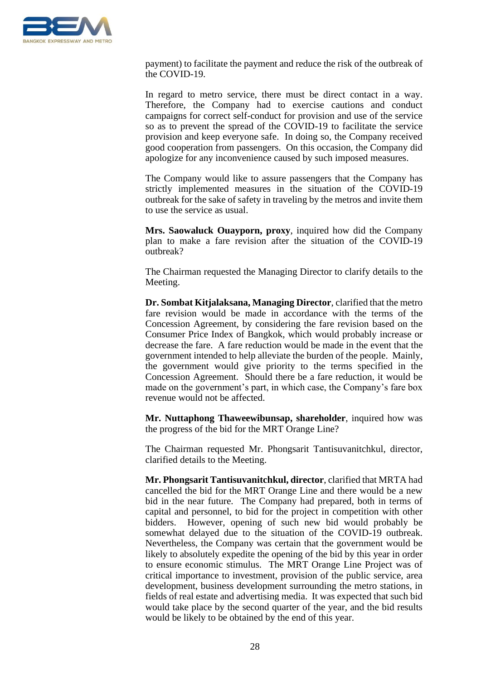

payment) to facilitate the payment and reduce the risk of the outbreak of the COVID-19.

In regard to metro service, there must be direct contact in a way. Therefore, the Company had to exercise cautions and conduct campaigns for correct self-conduct for provision and use of the service so as to prevent the spread of the COVID-19 to facilitate the service provision and keep everyone safe. In doing so, the Company received good cooperation from passengers. On this occasion, the Company did apologize for any inconvenience caused by such imposed measures.

The Company would like to assure passengers that the Company has strictly implemented measures in the situation of the COVID-19 outbreak for the sake of safety in traveling by the metros and invite them to use the service as usual.

**Mrs. Saowaluck Ouayporn, proxy**, inquired how did the Company plan to make a fare revision after the situation of the COVID-19 outbreak?

The Chairman requested the Managing Director to clarify details to the Meeting.

**Dr. Sombat Kitjalaksana, Managing Director**, clarified that the metro fare revision would be made in accordance with the terms of the Concession Agreement, by considering the fare revision based on the Consumer Price Index of Bangkok, which would probably increase or decrease the fare. A fare reduction would be made in the event that the government intended to help alleviate the burden of the people. Mainly, the government would give priority to the terms specified in the Concession Agreement. Should there be a fare reduction, it would be made on the government's part, in which case, the Company's fare box revenue would not be affected.

**Mr. Nuttaphong Thaweewibunsap, shareholder**, inquired how was the progress of the bid for the MRT Orange Line?

The Chairman requested Mr. Phongsarit Tantisuvanitchkul, director, clarified details to the Meeting.

**Mr. Phongsarit Tantisuvanitchkul, director**, clarified that MRTA had cancelled the bid for the MRT Orange Line and there would be a new bid in the near future. The Company had prepared, both in terms of capital and personnel, to bid for the project in competition with other bidders. However, opening of such new bid would probably be somewhat delayed due to the situation of the COVID-19 outbreak. Nevertheless, the Company was certain that the government would be likely to absolutely expedite the opening of the bid by this year in order to ensure economic stimulus. The MRT Orange Line Project was of critical importance to investment, provision of the public service, area development, business development surrounding the metro stations, in fields of real estate and advertising media. It was expected that such bid would take place by the second quarter of the year, and the bid results would be likely to be obtained by the end of this year.